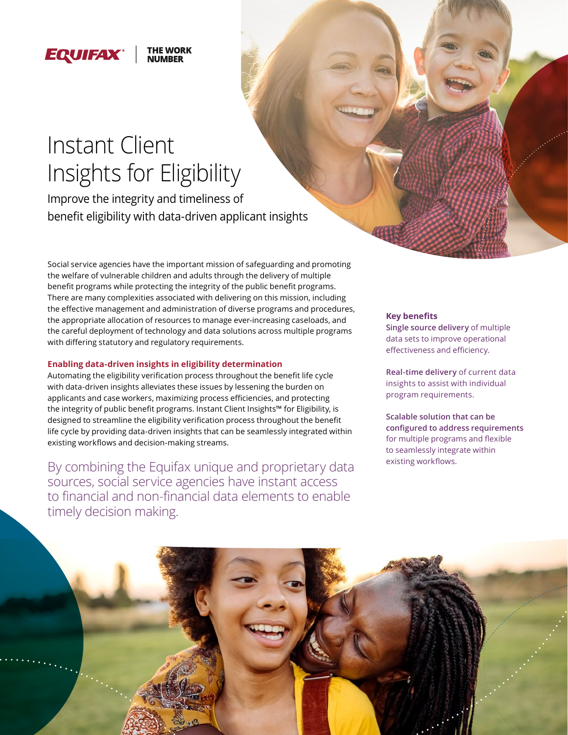#### THE WORK **EQUIFAX**

# [Instant Clien](http://www.equifax.com)t Insights for Eligibility

Improve the integrity and timeliness of benefit eligibility with data-driven applicant insights

Social service agencies have the important mission of safeguarding and promoting the welfare of vulnerable children and adults through the delivery of multiple benefit programs while protecting the integrity of the public benefit programs. There are many complexities associated with delivering on this mission, including the effective management and administration of diverse programs and procedures, the appropriate allocation of resources to manage ever-increasing caseloads, and the careful deployment of technology and data solutions across multiple programs with differing statutory and regulatory requirements.

#### **Enabling data-driven insights in eligibility determination**

Automating the eligibility verification process throughout the benefit life cycle with data-driven insights alleviates these issues by lessening the burden on applicants and case workers, maximizing process efficiencies, and protecting the integrity of public benefit programs. Instant Client Insights™ for Eligibility, is designed to streamline the eligibility verification process throughout the benefit life cycle by providing data-driven insights that can be seamlessly integrated within existing workflows and decision-making streams.

By combining the Equifax unique and proprietary data sources, social service agencies have instant access to financial and non-financial data elements to enable timely decision making.

#### **Key benefits**

**Single source delivery** of multiple data sets to improve operational effectiveness and efficiency.

**Real-time delivery** of current data insights to assist with individual program requirements.

**Scalable solution that can be configured to address requirements**  for multiple programs and flexible to seamlessly integrate within existing workflows.